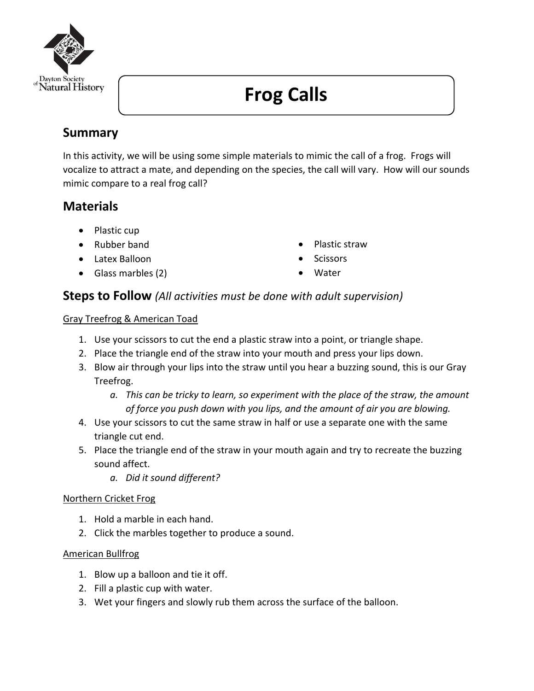

# **Frog Calls**

# **Summary**

In this activity, we will be using some simple materials to mimic the call of a frog. Frogs will vocalize to attract a mate, and depending on the species, the call will vary. How will our sounds mimic compare to a real frog call?

## **Materials**

- Plastic cup
- Rubber band
- Latex Balloon
- Glass marbles (2)
- Plastic straw
- **Scissors**
- **Water**

## **Steps to Follow** *(All activities must be done with adult supervision)*

## Gray Treefrog & American Toad

- 1. Use your scissors to cut the end a plastic straw into a point, or triangle shape.
- 2. Place the triangle end of the straw into your mouth and press your lips down.
- 3. Blow air through your lips into the straw until you hear a buzzing sound, this is our Gray Treefrog.
	- *a. This can be tricky to learn, so experiment with the place of the straw, the amount of force you push down with you lips, and the amount of air you are blowing.*
- 4. Use your scissors to cut the same straw in half or use a separate one with the same triangle cut end.
- 5. Place the triangle end of the straw in your mouth again and try to recreate the buzzing sound affect.
	- *a. Did it sound different?*

## Northern Cricket Frog

- 1. Hold a marble in each hand.
- 2. Click the marbles together to produce a sound.

## American Bullfrog

- 1. Blow up a balloon and tie it off.
- 2. Fill a plastic cup with water.
- 3. Wet your fingers and slowly rub them across the surface of the balloon.